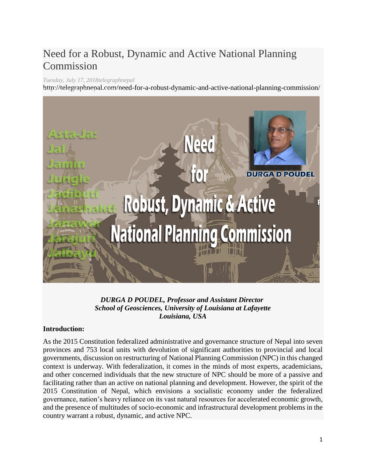# Need for a Robust, Dynamic and Active National Planning Commission

## *Tuesday, July 17, 201[8telegraphnepal](http://telegraphnepal.com/author/telegraphnepal/)*

http://telegraphnepal.com/need-for-a-robust-dynamic-and-active-national-planning-commission/



*DURGA D POUDEL, Professor and Assistant Director School of Geosciences, University of Louisiana at Lafayette Louisiana, USA*

## **Introduction:**

As the 2015 Constitution federalized administrative and governance structure of Nepal into seven provinces and 753 local units with devolution of significant authorities to provincial and local governments, discussion on restructuring of National Planning Commission (NPC) in this changed context is underway. With federalization, it comes in the minds of most experts, academicians, and other concerned individuals that the new structure of NPC should be more of a passive and facilitating rather than an active on national planning and development. However, the spirit of the 2015 Constitution of Nepal, which envisions a socialistic economy under the federalized governance, nation's heavy reliance on its vast natural resources for accelerated economic growth, and the presence of multitudes of socio-economic and infrastructural development problems in the country warrant a robust, dynamic, and active NPC.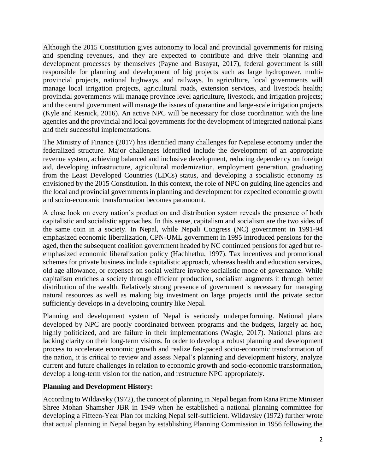Although the 2015 Constitution gives autonomy to local and provincial governments for raising and spending revenues, and they are expected to contribute and drive their planning and development processes by themselves (Payne and Basnyat, 2017), federal government is still responsible for planning and development of big projects such as large hydropower, multiprovincial projects, national highways, and railways. In agriculture, local governments will manage local irrigation projects, agricultural roads, extension services, and livestock health; provincial governments will manage province level agriculture, livestock, and irrigation projects; and the central government will manage the issues of quarantine and large-scale irrigation projects (Kyle and Resnick, 2016). An active NPC will be necessary for close coordination with the line agencies and the provincial and local governments for the development of integrated national plans and their successful implementations.

The Ministry of Finance (2017) has identified many challenges for Nepalese economy under the federalized structure. Major challenges identified include the development of an appropriate revenue system, achieving balanced and inclusive development, reducing dependency on foreign aid, developing infrastructure, agricultural modernization, employment generation, graduating from the Least Developed Countries (LDCs) status, and developing a socialistic economy as envisioned by the 2015 Constitution. In this context, the role of NPC on guiding line agencies and the local and provincial governments in planning and development for expedited economic growth and socio-economic transformation becomes paramount.

A close look on every nation's production and distribution system reveals the presence of both capitalistic and socialistic approaches. In this sense, capitalism and socialism are the two sides of the same coin in a society. In Nepal, while Nepali Congress (NC) government in 1991-94 emphasized economic liberalization, CPN-UML government in 1995 introduced pensions for the aged, then the subsequent coalition government headed by NC continued pensions for aged but reemphasized economic liberalization policy (Hachhethu, 1997). Tax incentives and promotional schemes for private business include capitalistic approach, whereas health and education services, old age allowance, or expenses on social welfare involve socialistic mode of governance. While capitalism enriches a society through efficient production, socialism augments it through better distribution of the wealth. Relatively strong presence of government is necessary for managing natural resources as well as making big investment on large projects until the private sector sufficiently develops in a developing country like Nepal.

Planning and development system of Nepal is seriously underperforming. National plans developed by NPC are poorly coordinated between programs and the budgets, largely ad hoc, highly politicized, and are failure in their implementations (Wagle, 2017). National plans are lacking clarity on their long-term visions. In order to develop a robust planning and development process to accelerate economic growth and realize fast-paced socio-economic transformation of the nation, it is critical to review and assess Nepal's planning and development history, analyze current and future challenges in relation to economic growth and socio-economic transformation, develop a long-term vision for the nation, and restructure NPC appropriately.

### **Planning and Development History:**

According to Wildavsky (1972), the concept of planning in Nepal began from Rana Prime Minister Shree Mohan Shamsher JBR in 1949 when he established a national planning committee for developing a Fifteen-Year Plan for making Nepal self-sufficient. Wildavsky (1972) further wrote that actual planning in Nepal began by establishing Planning Commission in 1956 following the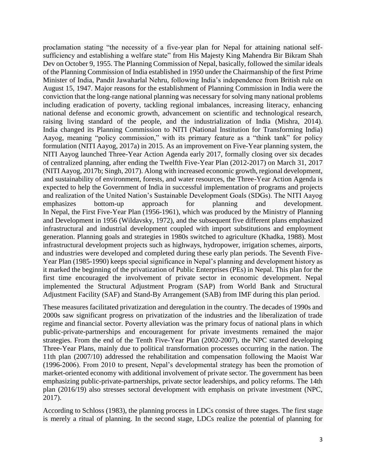proclamation stating "the necessity of a five-year plan for Nepal for attaining national selfsufficiency and establishing a welfare state" from His Majesty King Mahendra Bir Bikram Shah Dev on October 9, 1955. The Planning Commission of Nepal, basically, followed the similar ideals of the Planning Commission of India established in 1950 under the Chairmanship of the first Prime Minister of India, Pandit Jawaharlal Nehru, following India's independence from British rule on August 15, 1947. Major reasons for the establishment of Planning Commission in India were the conviction that the long-range national planning was necessary for solving many national problems including eradication of poverty, tackling regional imbalances, increasing literacy, enhancing national defense and economic growth, advancement on scientific and technological research, raising living standard of the people, and the industrialization of India (Mishra, 2014). India changed its Planning Commission to NITI (National Institution for Transforming India) Aayog, meaning "policy commission," with its primary feature as a "think tank" for policy formulation (NITI Aayog, 2017a) in 2015. As an improvement on Five-Year planning system, the NITI Aayog launched Three-Year Action Agenda early 2017, formally closing over six decades of centralized planning, after ending the Twelfth Five-Year Plan (2012-2017) on March 31, 2017 (NITI Aayog, 2017b; Singh, 2017). Along with increased economic growth, regional development, and sustainability of environment, forests, and water resources, the Three-Year Action Agenda is expected to help the Government of India in successful implementation of programs and projects and realization of the United Nation's Sustainable Development Goals (SDGs). The NITI Aayog emphasizes bottom-up approach for planning and development. In Nepal, the First Five-Year Plan (1956-1961), which was produced by the Ministry of Planning and Development in 1956 (Wildavsky, 1972), and the subsequent five different plans emphasized infrastructural and industrial development coupled with import substitutions and employment generation. Planning goals and strategies in 1980s switched to agriculture (Khadka, 1988). Most infrastructural development projects such as highways, hydropower, irrigation schemes, airports, and industries were developed and completed during these early plan periods. The Seventh Five-Year Plan (1985-1990) keeps special significance in Nepal's planning and development history as it marked the beginning of the privatization of Public Enterprises (PEs) in Nepal. This plan for the first time encouraged the involvement of private sector in economic development. Nepal implemented the Structural Adjustment Program (SAP) from World Bank and Structural Adjustment Facility (SAF) and Stand-By Arrangement (SAB) from IMF during this plan period.

These measures facilitated privatization and deregulation in the country. The decades of 1990s and 2000s saw significant progress on privatization of the industries and the liberalization of trade regime and financial sector. Poverty alleviation was the primary focus of national plans in which public-private-partnerships and encouragement for private investments remained the major strategies. From the end of the Tenth Five-Year Plan (2002-2007), the NPC started developing Three-Year Plans, mainly due to political transformation processes occurring in the nation. The 11th plan (2007/10) addressed the rehabilitation and compensation following the Maoist War (1996-2006). From 2010 to present, Nepal's developmental strategy has been the promotion of market-oriented economy with additional involvement of private sector. The government has been emphasizing public-private-partnerships, private sector leaderships, and policy reforms. The 14th plan (2016/19) also stresses sectoral development with emphasis on private investment (NPC, 2017).

According to Schloss (1983), the planning process in LDCs consist of three stages. The first stage is merely a ritual of planning. In the second stage, LDCs realize the potential of planning for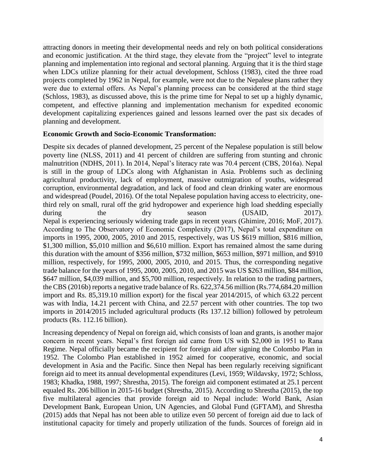attracting donors in meeting their developmental needs and rely on both political considerations and economic justification. At the third stage, they elevate from the "project" level to integrate planning and implementation into regional and sectoral planning. Arguing that it is the third stage when LDCs utilize planning for their actual development, Schloss (1983), cited the three road projects completed by 1962 in Nepal, for example, were not due to the Nepalese plans rather they were due to external offers. As Nepal's planning process can be considered at the third stage (Schloss, 1983), as discussed above, this is the prime time for Nepal to set up a highly dynamic, competent, and effective planning and implementation mechanism for expedited economic development capitalizing experiences gained and lessons learned over the past six decades of planning and development.

### **Economic Growth and Socio-Economic Transformation:**

Despite six decades of planned development, 25 percent of the Nepalese population is still below poverty line (NLSS, 2011) and 41 percent of children are suffering from stunting and chronic malnutrition (NDHS, 2011). In 2014, Nepal's literacy rate was 70.4 percent (CBS, 2016a). Nepal is still in the group of LDCs along with Afghanistan in Asia. Problems such as declining agricultural productivity, lack of employment, massive outmigration of youths, widespread corruption, environmental degradation, and lack of food and clean drinking water are enormous and widespread (Poudel, 2016). Of the total Nepalese population having access to electricity, onethird rely on small, rural off the grid hydropower and experience high load shedding especially during the dry season (USAID, 2017). Nepal is experiencing seriously widening trade gaps in recent years (Ghimire, 2016; MoF, 2017). According to The Observatory of Economic Complexity (2017), Nepal's total expenditure on imports in 1995, 2000, 2005, 2010 and 2015, respectively, was US \$619 million, \$816 million, \$1,300 million, \$5,010 million and \$6,610 million. Export has remained almost the same during this duration with the amount of \$356 million, \$732 million, \$653 million, \$971 million, and \$910 million, respectively, for 1995, 2000, 2005, 2010, and 2015. Thus, the corresponding negative trade balance for the years of 1995, 2000, 2005, 2010, and 2015 was US \$263 million, \$84 million, \$647 million, \$4,039 million, and \$5,700 million, respectively. In relation to the trading partners, the CBS (2016b) reports a negative trade balance of Rs. 622,374.56 million (Rs.774,684.20 million import and Rs. 85,319.10 million export) for the fiscal year 2014/2015, of which 63.22 percent was with India, 14.21 percent with China, and 22.57 percent with other countries. The top two imports in 2014/2015 included agricultural products (Rs 137.12 billion) followed by petroleum products (Rs. 112.16 billion).

Increasing dependency of Nepal on foreign aid, which consists of loan and grants, is another major concern in recent years. Nepal's first foreign aid came from US with \$2,000 in 1951 to Rana Regime. Nepal officially became the recipient for foreign aid after signing the Colombo Plan in 1952. The Colombo Plan established in 1952 aimed for cooperative, economic, and social development in Asia and the Pacific. Since then Nepal has been regularly receiving significant foreign aid to meet its annual developmental expenditures (Levi, 1959; Wildavsky, 1972; Schloss, 1983; Khadka, 1988, 1997; Shrestha, 2015). The foreign aid component estimated at 25.1 percent equaled Rs. 206 billion in 2015-16 budget (Shrestha, 2015). According to Shrestha (2015), the top five multilateral agencies that provide foreign aid to Nepal include: World Bank, Asian Development Bank, European Union, UN Agencies, and Global Fund (GFTAM), and Shrestha (2015) adds that Nepal has not been able to utilize even 50 percent of foreign aid due to lack of institutional capacity for timely and properly utilization of the funds. Sources of foreign aid in